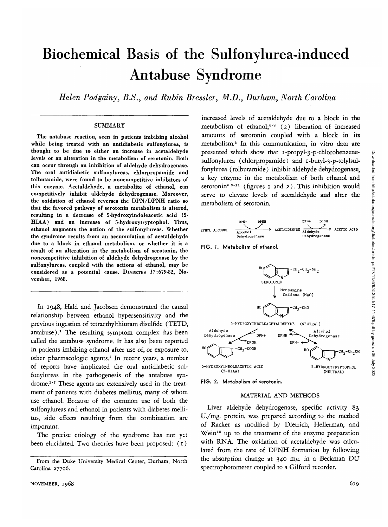# Biochemical Basis of the Sulfonylurea-induced Antabuse Syndrome

*Helen Podgainy, B.S., and Rubin Bressler, M.D., Durham, North Carolina*

### **SUMMARY**

The antabuse reaction, seen in patients imbibing alcohol while being treated with an antidiabetic sulfonylurea, is thought to be due to either an increase in acetaldehyde levels or an alteration in the metabolism of serotonin. Both can occur through an inhibition of aldehyde dehydrogenase. The oral antidiabetic sulfonylureas, chlorpropamide and tolbutamide, were found to be noncompetitive inhibitors of this enzyme. Acetaldehyde, a metabolite of ethanol, can competitively inhibit aldehyde dehydrogenase. Moreover, the oxidation of ethanol reverses the DPN/DPNH ratio so that the favored pathway of serotonin metabolism is altered, resulting in a decrease of 5-hydroxyindoleacetic acid (5- HIAA) and an increase of 5-hydroxytryptophol. Thus, ethanol augments the action of the sulfonylureas. Whether the syndrome results from an accumulation of acetaldehyde due to a block in ethanol metabolism, or whether it is a result of an alteration in the metabolism of serotonin, the noncompetitive inhibition of aldehyde dehydrogenase by the sulfonylureas, coupled with the actions of ethanol, may be considered as a potential cause. DIABETES *1*7:679-82, November, 1968.

In 1948, Hald and Jacobsen demonstrated the causal relationship between ethanol hypersensitivity and the previous ingestion of tetraethylthiuram disulfide (TETD, antabuse).<sup>1</sup> The resulting symptom complex has been called the antabuse syndrome. It has also been reported in patients imbibing ethanol after use of, or exposure to, other pharmacologic agents.<sup>1</sup> In recent years, a number of reports have implicated the oral antidiabetic sulfonylureas in the pathogenesis of the antabuse syndrome.<sup>2-7</sup> These agents are extensively used in the treatment of patients with diabetes mellitus, many of whom use ethanol. Because of the common use of both the sulfonylureas and ethanol in patients with diabetes mellitus, side effects resulting from the combination are important.

The precise etiology of the syndrome has not yet been elucidated. Two theories have been proposed: (1)

increased levels of acetaldehyde due to a block in the metabolism of ethanol;<sup>6-8</sup> (2) liberation of increased amounts of serotonin coupled with a block in its metabolism.4 In this communication, in vitro data are presented which show that i-propyl-3-p-chlorobenzenesulfonylurea (chlorpropamide) and  $\tau$ -butyl-3-p-tolylsulfonylurea (tolbutamide) inhibit aldehyde dehydrogenase, a key enzyme in the metabolism of both ethanol and serotonin<sup>6,9-11</sup> (figures 1 and 2). This inhibition would serve to elevate levels of acetaldehyde and alter the metabolism of serotonin.



FIG. I. Metabolism of ethanol.



FIG. 2. Metabolism of serotonin.

### MATERIAL AND METHODS

Liver aldehyde dehydrogenase, specific activity 83 U./mg. protein, was prepared according to the method of Racker as modified by Dietrich, Hellerman, and Wein<sup>10</sup> up to the treatment of the enzyme preparation with RNA. The oxidation of acetaldehyde was calculated from the rate of DPNH formation by following the absorption change at 340 *m/x.* in a Beckman DU spectrophotometer coupled to a Gilford recorder.

From the Duke University Medical Center, Durham, North Carolina 27706.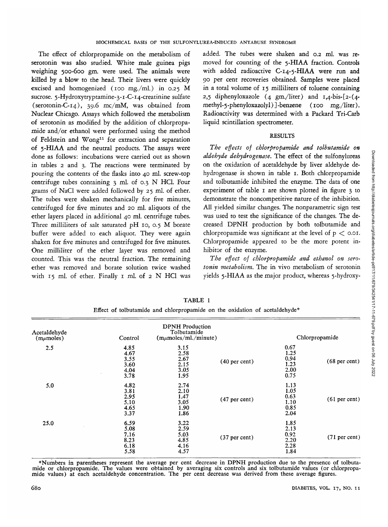The effect of chlorpropamide on the metabolism of serotonin was also studied. White male guinea pigs weighing 500-600 gm. were used. The animals were killed by a blow to the head. Their livers were quickly excised and homogenized (100 mg./ml.) in 0.25 M sucrose. 5-Hydroxytryptamine-3-1-C-14-creatinine sulfate (serotonin-C-14), 39.6 mc/mM, was obtained from Nuclear Chicago. Assays which followed the metabolism of serotonin as modified by the addition of chlorpropamide and/or ethanol were performed using the method of Feldstein and Wong<sup>11</sup> for extraction and separation of 5-HIAA and the neutral products. The assays were done as follows: incubations were carried out as shown in tables 2 and 3. The reactions were terminated by pouring the contents of the flasks into 40 ml. screw-top centrifuge tubes containing  $3$  ml. of 0.3 N HCl. Four grams of NaCl were added followed by 25 ml. of ether. The tubes were shaken mechanically for five minutes, centrifuged for five minutes and 20 ml. aliquots of the ether layers placed in additional 40 ml. centrifuge tubes. Three milliliters of salt saturated pH 10, 0.5 M borate buffer were added to each aliquot. They were again shaken for five minutes and centrifuged for five minutes. One milliliter of the ether layer was removed and counted. This was the neutral fraction. The remaining ether was removed and borate solution twice washed with 15 ml. of ether. Finally 1 ml. of 2 N HCl was added. The tubes were shaken and 0.2 ml. was removed for counting of the 5-HIAA fraction. Controls with added radioactive C-14-5-HIAA were run and 90 per cent recoveries obtained. Samples were placed in a total volume of 15 milliliters of toluene containing 2,5 diphenyloxazole  $(4 \text{ gm/liter})$  and  $I,4\text{-bis-[}2\text{-} (4\text{-}$ methyl-5-phenyloxazolyl)]-benzene (100 mg./liter). Radioactivity was determined with a Packard Tri-Carb liquid scintillation spectrometer.

## RESULTS

*The effects of chlorpropamide and tolbutamide on aldehyde dehydrogenase.* The effect of the sulfonylureas on the oxidation of acetaldehyde by liver aldehyde dehydrogenase is shown in table 1. Both chlorpropamide and tolbutamide inhibited the enzyme. The data of one experiment of table 1 are shown plotted in figure 3 to demonstrate the noncompetitive nature of the inhibition. All yielded similar changes. The nonparametric sign test was used to test the significance of the changes. The decreased DPNH production by both tolbutamide and chlorpropamide was significant at the level of  $p <$  0.01. Chlorpropamide appeared to be the more potent inhibitor of the enzyme.

*The effect of chlorpropamide and ethanol on serotonin metabolism.* The in vivo metabolism of serotonin yields 5-HIAA as the major product, whereas 5-hydroxy-

| Acetaldehyde<br>$(m\mu$ moles) | <b>DPNH</b> Production<br>Tolbutamide<br>$(m\mu \text{moles/ml.}/\text{minute})$<br>Control |                                              |                 | Chlorpropamide                               |                 |
|--------------------------------|---------------------------------------------------------------------------------------------|----------------------------------------------|-----------------|----------------------------------------------|-----------------|
| 2.5                            | 4.85<br>4.67<br>3.55<br>3.60<br>4.04<br>3.78                                                | 3.15<br>2.58<br>2.67<br>2.15<br>3.05<br>1.95 | $(40$ per cent) | 0.67<br>1.25<br>0.94<br>1.23<br>2.00<br>0.75 | $(68$ per cent) |
| 5.0                            | 4.82<br>3.81<br>2.95<br>5.10<br>4.65<br>3.37                                                | 2.74<br>2.10<br>1.47<br>3.05<br>1.90<br>1.86 | $(47$ per cent) | 1.13<br>1.05<br>0.63<br>1.10<br>0.85<br>2.04 | $(61$ per cent) |
| 25.0                           | 6.59<br>5.08<br>7.16<br>8.23<br>6.18<br>5.58                                                | 3.22<br>2.59<br>5.03<br>4.85<br>4.16<br>4.57 | $(37$ per cent) | 1.85<br>2.13<br>0.92<br>2.20<br>2.28<br>1.84 | $(71$ per cent) |

TABLE 1 Effect of tolbutamide and chlorpropamide on the oxidation of acetaldehyde\*

\*Numbers in parentheses represent the average per cent decrease in DPNH production due to the presence of tolbuta-<br>mide or chlorpropamide. The values were obtained by averaging six controls and six tolbutamide values (or c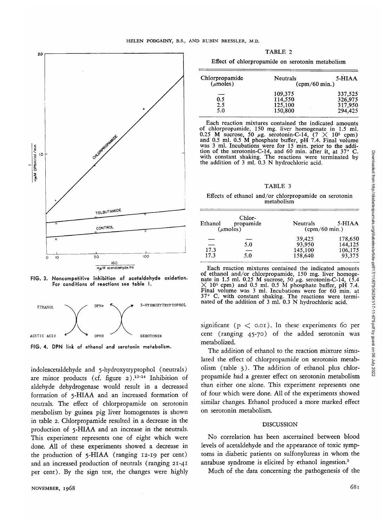



FIG. 3. Noncompetitive Inhibition of acetaldehyde oxidation. For conditions of reactions see table I.



FIG. 4. DPN link of ethanol and serotonin metabolism.

indoleacetaldehyde and 5-hydroxytryptophol (neutrals) are minor products (cf. figure 2).<sup>12-14</sup> Inhibition of aldehyde dehydrogenase would result in a decreased formation of 5-HIAA and an increased formation of neutrals. The effect of chlorpropamide on serotonin metabolism by guinea pig liver homogenates is shown in table 2. Chlorpropamide resulted in a decrease in the production of 5-HIAA and an increase in the neutrals. This experiment represents one of eight which were done. All of these experiments showed a decrease in the production of  $5$ -HIAA (ranging 12-19 per cent) and an increased production of neutrals (ranging 21-41 per cent). By the sign test, the changes were highly

TABLE 2

| Effect of chlorpropamide on serotonin metabolism |  |  |  |
|--------------------------------------------------|--|--|--|
|--------------------------------------------------|--|--|--|

| Chlorpropamide<br>(mnoles) | Neutrals<br>$\frac{\text{cpm}}{60 \text{ min.}}$ | 5-HIAA                                   |
|----------------------------|--------------------------------------------------|------------------------------------------|
| 0.5<br>2.5<br>5.0          | 109,375<br>114,550<br>125,100<br>150,800         | 337,525<br>326,975<br>317,950<br>294,425 |

Each reaction mixtures contained the indicated amounts of chlorpropamide, 150 mg. liver homogenate in 1.5 ml. 0.25 M sucrose, 50  $\mu$ g. serotonin-C-14, (7  $\times$  10<sup>5</sup> cpm) and 0.5 ml. 0.5 M phosphate buffer, pH 7.4. Final 0.25 M sucrose, 50  $\mu$ g. serotonin-C-14, (7  $\times$  10<sup>5</sup> cpm)<br>and 0.5 ml. 0.5 M phosphate buffer, pH 7.4. Final volume<br>was 3 ml. Incubations were for 15 min. prior to the addi-<br>tion of the serotonin-C-14, and 60 min. after the addition of 3 ml. 0.3 N hydrochloric acid.

TABLE 3

# Effects of ethanol and/or chlorpropamide on serotonin metabolism

| Ethanol | Chlor-<br>propamide<br>$(\mu$ moles) | <b>Neutrals</b><br>$\frac{\text{cpm}}{60 \text{ min.}}$ | 5-HIAA  |
|---------|--------------------------------------|---------------------------------------------------------|---------|
|         |                                      | 39,425                                                  | 178,650 |
| --      | 5.0                                  | 93,950                                                  | 144,125 |
| 17.3    | —                                    | 145,100                                                 | 106,175 |
| 17.3    | 5.0                                  | 158,640                                                 | 93,375  |
|         |                                      |                                                         |         |

Each reaction mixtures contained the indicated amounts of ethanol and/or chlorpropamide, 150 mg. liver homoge-<br>nate in 1.5 ml. 0.25 M sucrose, 50 *μg*. serotonin-C-14, (5.4  $\times$  10<sup>5</sup> cpm) and 0.5 ml. 0.5 M phosphate buffer, pH 7.4. Final volume was 3 ml. Incubations were for 60 min. at  $37^\circ$  C. with constant shaking. The reactions were terminated of the addition of 3 ml. 0.3 N hydrochloric acid.

significant ( $p <$  0.01). In these experiments 60 per cent (ranging 45-70) of the added serotonin was metabolized.

The addition of ethanol to the reaction mixture simulated the effect of chlorpropamide on serotonin metabolism (table 3). The addition of ethanol plus chlorpropamide had a greater effect on serotonin metabolism than either one alone. This experiment represents one of four which were done. All of the experiments showed similar changes. Ethanol produced a more marked effect on serotonin metabolism.

#### DISCUSSION

No correlation has been ascertained between blood levels of acetaldehyde and the appearance of toxic symptoms in diabetic patients on sulfonylureas in whom the antabuse syndrome is elicited by ethanol ingestion.3

Much of the data concerning the pathogenesis of the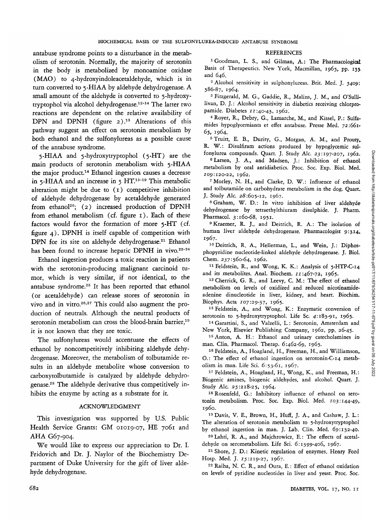antabuse syndrome points to a disturbance in the metabolism of serotonin. Normally, the majority of serotonin in the body is metabolized by monoamine oxidase (MAO) to 4-hydroxyindoleacetaldehyde, which is in turn converted to 5-HIAA by aldehyde dehydrogenase. A small amount of the aldehyde is converted to 5-hydroxytryptophol via alcohol dehydrogenase.<sup>12-14</sup> The latter two reactions are dependent on the relative availability of DPN and DPNH (figure 2).<sup>13</sup> Alterations of this pathway suggest an effect on serotonin metabolism by both ethanol and the sulfonylureas as a possible cause of the antabuse syndrome.

5-HIAA and 5-hydroxytryptophol (5-HT) are the main products of serotonin metabolism with 5-HIAA the major product.<sup>14</sup> Ethanol ingestion causes a decrease in 5-HIAA and an increase in  $5$  HT.<sup>15-19</sup> This metabolic alteration might be due to (1) competitive inhibition of aldehyde dehydrogenase by acetaldehyde generated from ethanol<sup>20</sup>; (2) increased production of DPNH<br>from ethanol metabolism (cf. figure  $i$ ). Each of these from ethanol metabolism (cf. figure 1). Each of these  $f_{\text{max}}$  actors would favor the formation of more  $f_{\text{max}}$  (cf. figure 4). DPNH is itself capable of competition with **DPN** for its site on aldehyde dehydrogenase.<sup>21</sup> Ethanol has been found to increase hepatic DPNH in vivo.<sup>22-24</sup>

Ethanol ingestion produces a toxic reaction in patients with the serotonin-producing malignant carcinoid tumor, which is very similar, if not identical, to the antabuse syndrome.25 It has been reported that ethanol (or acetaldehyde) can release stores of serotonin in vivo and in vitro.<sup>26,27</sup> This could also augment the production of neutrals. Although the neutral products of serotonin metabolism can cross the blood-brain barrier,<sup>19</sup> it is not known that they are toxic.

The sulfonylureas would accentuate the effects of ethanol by noncompetitively inhibiting aldehyde dehydrogenase. Moreover, the metabolism of tolbutamide results in an aldehyde metabolite whose conversion to carboxytolbutamide is catalyzed by aldehyde dehydrogenase.28 The aldehyde derivative thus competitively inhibits the enzyme by acting as a substrate for *it.*

## ACKNOWLEDGMENT

This investigation was supported by U.S. Public Health Service Grants: GM 01019-07, HE 7061 and AHA G67-904.

We would like to express our appreciation to Dr. I. Fridovich and Dr. J. Naylor of the Biochemistry Department of Duke University for the gift of liver aldehyde dehydrogenase.

### REFERENCES

<sup>1</sup> Goodman, L. S., and Gilman, A.: The Pharmacological Basis of Therapeutics. New York, Macmillan, 1965, pp. 155. and 646.

 Alcohol sensitivity in sulphonylureas. Brit. Med. J. *3409:* 586-87, 1964. <sup>3</sup>

<sup>3</sup> Fitzgerald, M. G., Gaddie, R., Malins, J. M., and O'Sullilivan, D. J.: Alcohol sensitivity in diabetics receiving chlorpropamide. Diabetes 11:40-43, 1962.

 Royer, R., Debry, G, Lamarche, M., and Kissel, P.: Sulfamides hypoglycemiants et effet antabuse. Presse Med. 72:661- 65, 1964.

<sup>5</sup> Truitt, E. B., Durity, G., Morgan, A. M., and Prouty, R. W.: Disulfiram actions produced by hypoglycemic sulfonylurea compounds. Quart. J. Study Alc. 23:197-207, 1962.

 Larsen, J. A., and Madsen, J.: Inhibition of ethanol metabolism by oral antidiabetics. Proc. Soc. Exp. Biol. Med\_ 109:120-22, 1962. <sup>7</sup>

Morley, N. H., and Clarke, D. W.: Influence of ethanol and tolbutamide on carbohydrate metabolism in the dog. Quart. J. Study Alc. 28:605-12, 1967.

 Graham, W. D.: In vitro inhibition of liver aldehyde dehydrogenase by tetraethylthiuram disulphide. J. Pharm. Pharmacol. 3:160-68, 1951.

<sup>9</sup> Kraemer, R. J., and Deitrich, R. A.: The isolation of human liver aldehyde dehydrogenase. Pharmacologist 9:314,. 1967.

<sup>10</sup> Deitrich, R. A., Hellerman, L., and Wein, J.: Diphosphopyridine nucleotide-linked aldehyde dehydrogenase. J. Biol. Chem. 237:560-64, 1962.

<sup>11</sup> Feldstein, R., and Wong, K. K.: Analysis of 5-HTP-C-14 and its metabolites. Anal. Biochem.  $11:467-72$ , 1965.

<sup>12</sup> Cherrick, G. R., and Leevy, C. M.: The effect of ethanol metabolism on levels of oxidized and reduced nicotinamideadenine dinucleotide in liver, kidney, and heart. Biochim. Biophys. Acta 107:29-37, 1965.

13 Feldstein, A., and Wong, K.: Enzymatic conversion of serotonin to 5-hydroxytryptophol. Life Sc. 4:183-91, 1965.

<sup>14</sup> Garattini, S., and Valzelli, L.: Serotonin, Amsterdam and New York, Elsevier Publishing Company, 1962, pp. 26-45.

<sup>15</sup> Anton, A. H.: Ethanol and urinary catecholamines in man. Clin. Pharmacol. Therap. 6:462-69, 1965.

16 Feldstein, A., Hoagland, H., Freeman, H., and Williamson, O.: The effect of ethanol ingestion on serotonin-C-14 metabolism in man. Life Sci. 6:53-61, 1967.

17 Feldstein, A., Hoagland, H., Wong, K., and Freeman, H.: Biogenic amines, biogenic aldehydes, and alcohol. Quart. J. Study Alc. 25:218-25, 1964.

18 Rosenfeld, G.: Inhibitory influence of ethanol on serotonin metabolism. Proc. Soc. Exp. Biol. Med. 103:144-49,. i960. <sup>19</sup>

 Davis, V. E., Brown, H., Huff, J. A., and Cashaw, J. L.: The alteration of serotonin metabolism to 5-hydroxytryptophol<br>by ethanol ingestion in man. J. Lab. Clin. Med. 69:132-40.

<sup>20</sup> Lahti, R. A., and Majchrowicz, E.: The effects of acetaldehyde on serometabolism. Life Sci. 6:1399-406, 1967.

21 Shore, J. D.: Kinetic regulation of enzymes. Henry Ford Hosp. Med. J. 15:219-27, 1967.

<sup>22</sup> Raiha, N. C. R., and Oura, E.: Effect of ethanol oxidation on levels of pyridine nucleotides in liver and yeast. Proc. Soc.